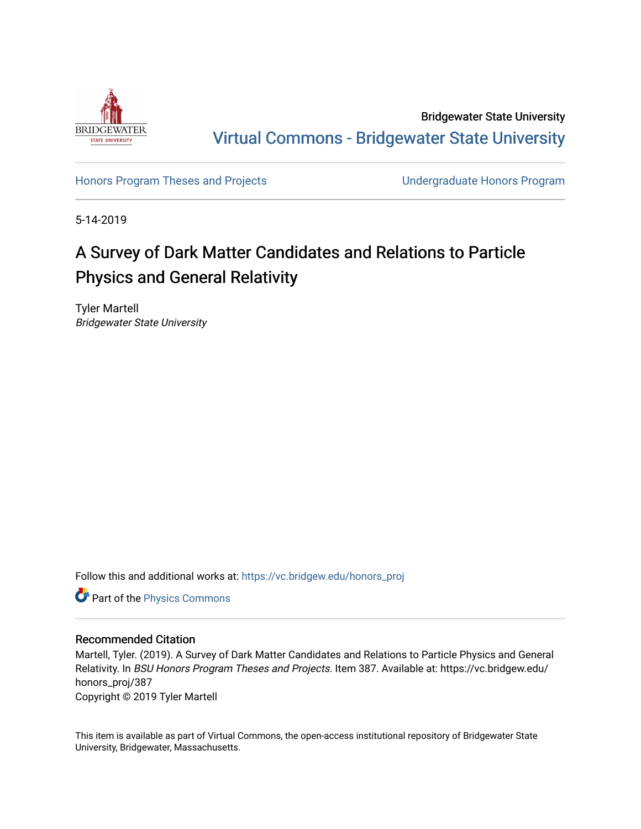

Bridgewater State University [Virtual Commons - Bridgewater State University](https://vc.bridgew.edu/) 

[Honors Program Theses and Projects](https://vc.bridgew.edu/honors_proj) [Undergraduate Honors Program](https://vc.bridgew.edu/honors) 

5-14-2019

### A Survey of Dark Matter Candidates and Relations to Particle Physics and General Relativity

Tyler Martell Bridgewater State University

Follow this and additional works at: [https://vc.bridgew.edu/honors\\_proj](https://vc.bridgew.edu/honors_proj?utm_source=vc.bridgew.edu%2Fhonors_proj%2F387&utm_medium=PDF&utm_campaign=PDFCoverPages)

**P** Part of the [Physics Commons](http://network.bepress.com/hgg/discipline/193?utm_source=vc.bridgew.edu%2Fhonors_proj%2F387&utm_medium=PDF&utm_campaign=PDFCoverPages)

#### Recommended Citation

Martell, Tyler. (2019). A Survey of Dark Matter Candidates and Relations to Particle Physics and General Relativity. In BSU Honors Program Theses and Projects. Item 387. Available at: https://vc.bridgew.edu/ honors\_proj/387 Copyright © 2019 Tyler Martell

This item is available as part of Virtual Commons, the open-access institutional repository of Bridgewater State University, Bridgewater, Massachusetts.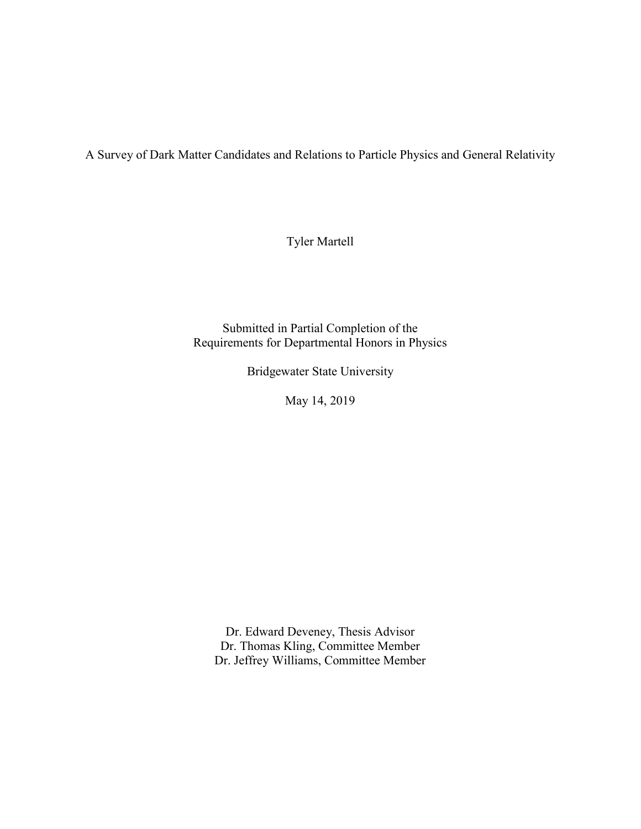A Survey of Dark Matter Candidates and Relations to Particle Physics and General Relativity

Tyler Martell

Submitted in Partial Completion of the Requirements for Departmental Honors in Physics

Bridgewater State University

May 14, 2019

Dr. Edward Deveney, Thesis Advisor Dr. Thomas Kling, Committee Member Dr. Jeffrey Williams, Committee Member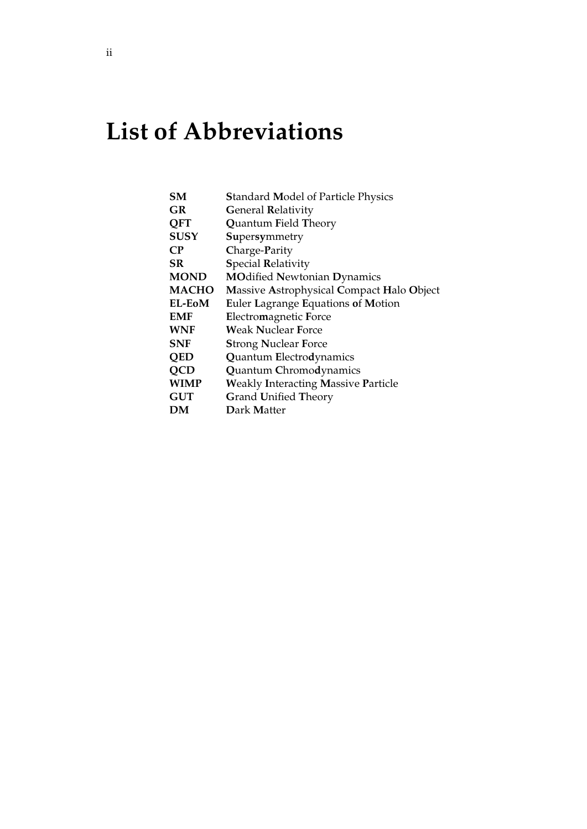# **List of Abbreviations**

| SМ           | <b>Standard Model of Particle Physics</b>  |
|--------------|--------------------------------------------|
| GR           | <b>General Relativity</b>                  |
| <b>OFT</b>   | <b>Quantum Field Theory</b>                |
| <b>SUSY</b>  | Supersymmetry                              |
| <b>CP</b>    | Charge-Parity                              |
| SR           | <b>Special Relativity</b>                  |
| <b>MOND</b>  | <b>MOdified Newtonian Dynamics</b>         |
| <b>MACHO</b> | Massive Astrophysical Compact Halo Object  |
| EL-EoM       | Euler Lagrange Equations of Motion         |
| EMF          | Electromagnetic Force                      |
| <b>WNF</b>   | Weak Nuclear Force                         |
| SNF          | <b>Strong Nuclear Force</b>                |
| <b>QED</b>   | Quantum Electrodynamics                    |
| <b>QCD</b>   | <b>Quantum Chromodynamics</b>              |
| WIMP         | <b>Weakly Interacting Massive Particle</b> |
| <b>GUT</b>   | <b>Grand Unified Theory</b>                |
| DМ           | Dark Matter                                |
|              |                                            |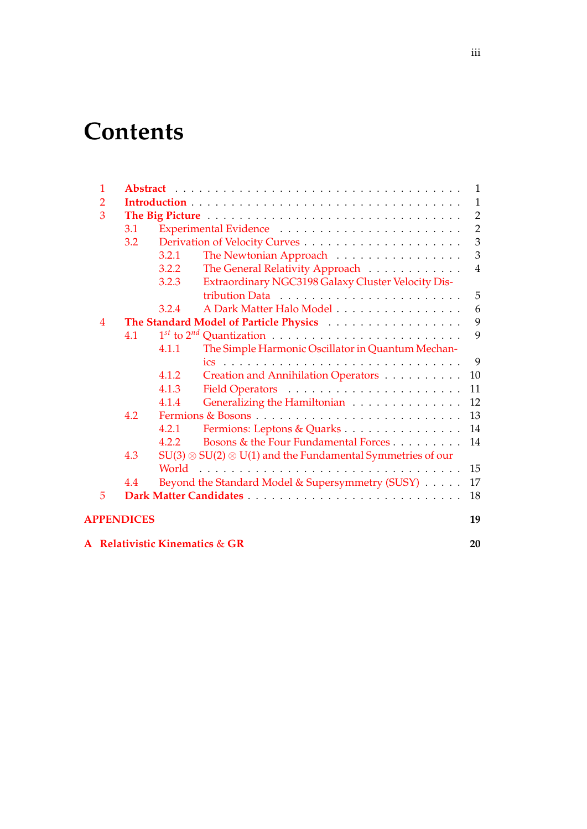## **Contents**

| $\mathbf{1}$   |                   |                                                                          | $\mathbf{1}$   |
|----------------|-------------------|--------------------------------------------------------------------------|----------------|
| 2              |                   |                                                                          | $\mathbf{1}$   |
| 3              |                   |                                                                          | 2              |
|                | 3.1               |                                                                          | $\overline{2}$ |
|                | 3.2               |                                                                          | $\mathfrak{Z}$ |
|                |                   | 3.2.1<br>The Newtonian Approach                                          | $\mathfrak{Z}$ |
|                |                   | The General Relativity Approach<br>3.2.2                                 | $\overline{4}$ |
|                |                   | Extraordinary NGC3198 Galaxy Cluster Velocity Dis-<br>3.2.3              |                |
|                |                   |                                                                          | 5              |
|                |                   | A Dark Matter Halo Model<br>3.2.4                                        | 6              |
| $\overline{4}$ |                   |                                                                          | 9              |
|                | 4.1               |                                                                          | 9              |
|                |                   | The Simple Harmonic Oscillator in Quantum Mechan-<br>4.1.1               |                |
|                |                   |                                                                          | 9              |
|                |                   | 4.1.2<br>Creation and Annihilation Operators                             | 10             |
|                |                   | 4.1.3                                                                    | 11             |
|                |                   | Generalizing the Hamiltonian<br>4.1.4                                    | 12             |
|                | 4.2               |                                                                          | 13             |
|                |                   | Fermions: Leptons & Quarks<br>4.2.1                                      | 14             |
|                |                   | Bosons & the Four Fundamental Forces<br>4.2.2                            | 14             |
|                | 4.3               | $SU(3) \otimes SU(2) \otimes U(1)$ and the Fundamental Symmetries of our |                |
|                |                   | World                                                                    | 15             |
|                | 4.4               | Beyond the Standard Model & Supersymmetry (SUSY)                         | 17             |
| 5              |                   |                                                                          | 18             |
|                | <b>APPENDICES</b> |                                                                          | 19             |
|                |                   | A Relativistic Kinematics & GR                                           | 20             |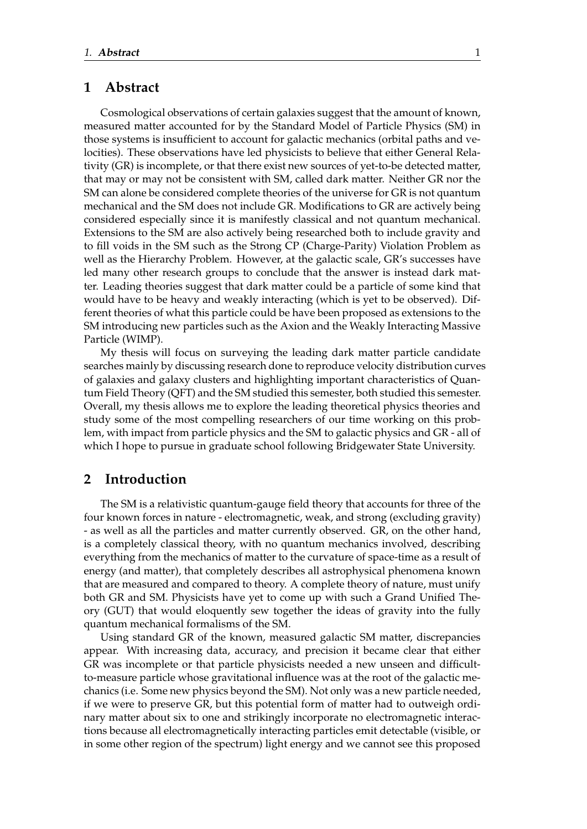#### <span id="page-4-0"></span>**1 Abstract**

Cosmological observations of certain galaxies suggest that the amount of known, measured matter accounted for by the Standard Model of Particle Physics (SM) in those systems is insufficient to account for galactic mechanics (orbital paths and velocities). These observations have led physicists to believe that either General Relativity (GR) is incomplete, or that there exist new sources of yet-to-be detected matter, that may or may not be consistent with SM, called dark matter. Neither GR nor the SM can alone be considered complete theories of the universe for GR is not quantum mechanical and the SM does not include GR. Modifications to GR are actively being considered especially since it is manifestly classical and not quantum mechanical. Extensions to the SM are also actively being researched both to include gravity and to fill voids in the SM such as the Strong CP (Charge-Parity) Violation Problem as well as the Hierarchy Problem. However, at the galactic scale, GR's successes have led many other research groups to conclude that the answer is instead dark matter. Leading theories suggest that dark matter could be a particle of some kind that would have to be heavy and weakly interacting (which is yet to be observed). Different theories of what this particle could be have been proposed as extensions to the SM introducing new particles such as the Axion and the Weakly Interacting Massive Particle (WIMP).

My thesis will focus on surveying the leading dark matter particle candidate searches mainly by discussing research done to reproduce velocity distribution curves of galaxies and galaxy clusters and highlighting important characteristics of Quantum Field Theory (QFT) and the SM studied this semester, both studied this semester. Overall, my thesis allows me to explore the leading theoretical physics theories and study some of the most compelling researchers of our time working on this problem, with impact from particle physics and the SM to galactic physics and GR - all of which I hope to pursue in graduate school following Bridgewater State University.

#### <span id="page-4-1"></span>**2 Introduction**

The SM is a relativistic quantum-gauge field theory that accounts for three of the four known forces in nature - electromagnetic, weak, and strong (excluding gravity) - as well as all the particles and matter currently observed. GR, on the other hand, is a completely classical theory, with no quantum mechanics involved, describing everything from the mechanics of matter to the curvature of space-time as a result of energy (and matter), that completely describes all astrophysical phenomena known that are measured and compared to theory. A complete theory of nature, must unify both GR and SM. Physicists have yet to come up with such a Grand Unified Theory (GUT) that would eloquently sew together the ideas of gravity into the fully quantum mechanical formalisms of the SM.

Using standard GR of the known, measured galactic SM matter, discrepancies appear. With increasing data, accuracy, and precision it became clear that either GR was incomplete or that particle physicists needed a new unseen and difficultto-measure particle whose gravitational influence was at the root of the galactic mechanics (i.e. Some new physics beyond the SM). Not only was a new particle needed, if we were to preserve GR, but this potential form of matter had to outweigh ordinary matter about six to one and strikingly incorporate no electromagnetic interactions because all electromagnetically interacting particles emit detectable (visible, or in some other region of the spectrum) light energy and we cannot see this proposed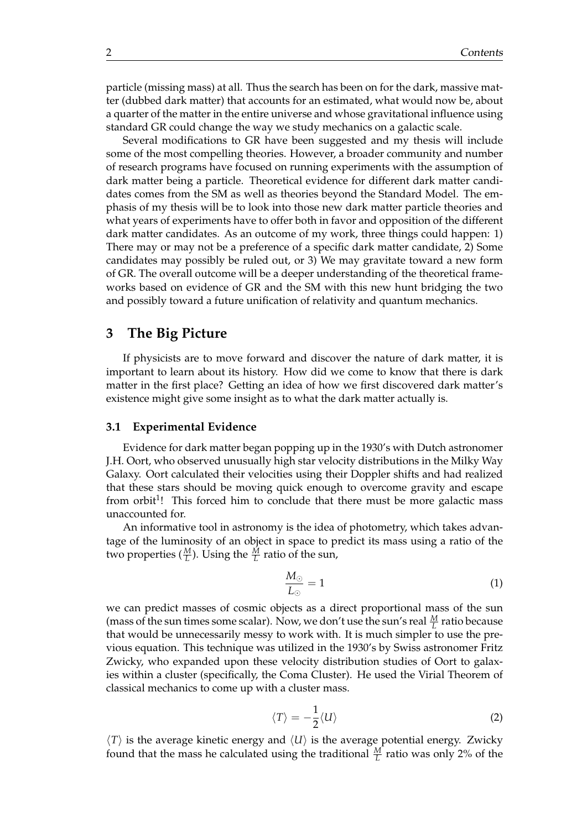particle (missing mass) at all. Thus the search has been on for the dark, massive matter (dubbed dark matter) that accounts for an estimated, what would now be, about a quarter of the matter in the entire universe and whose gravitational influence using standard GR could change the way we study mechanics on a galactic scale.

Several modifications to GR have been suggested and my thesis will include some of the most compelling theories. However, a broader community and number of research programs have focused on running experiments with the assumption of dark matter being a particle. Theoretical evidence for different dark matter candidates comes from the SM as well as theories beyond the Standard Model. The emphasis of my thesis will be to look into those new dark matter particle theories and what years of experiments have to offer both in favor and opposition of the different dark matter candidates. As an outcome of my work, three things could happen: 1) There may or may not be a preference of a specific dark matter candidate, 2) Some candidates may possibly be ruled out, or 3) We may gravitate toward a new form of GR. The overall outcome will be a deeper understanding of the theoretical frameworks based on evidence of GR and the SM with this new hunt bridging the two and possibly toward a future unification of relativity and quantum mechanics.

#### <span id="page-5-0"></span>**3 The Big Picture**

If physicists are to move forward and discover the nature of dark matter, it is important to learn about its history. How did we come to know that there is dark matter in the first place? Getting an idea of how we first discovered dark matter's existence might give some insight as to what the dark matter actually is.

#### <span id="page-5-1"></span>**3.1 Experimental Evidence**

Evidence for dark matter began popping up in the 1930's with Dutch astronomer J.H. Oort, who observed unusually high star velocity distributions in the Milky Way Galaxy. Oort calculated their velocities using their Doppler shifts and had realized that these stars should be moving quick enough to overcome gravity and escape from orbit<sup>1</sup>! This forced him to conclude that there must be more galactic mass unaccounted for.

An informative tool in astronomy is the idea of photometry, which takes advantage of the luminosity of an object in space to predict its mass using a ratio of the two properties  $(\frac{M}{L})$ . Using the  $\frac{M}{L}$  ratio of the sun,

$$
\frac{M_{\odot}}{L_{\odot}} = 1\tag{1}
$$

we can predict masses of cosmic objects as a direct proportional mass of the sun (mass of the sun times some scalar). Now, we don't use the sun's real  $\frac{M}{L}$  ratio because that would be unnecessarily messy to work with. It is much simpler to use the previous equation. This technique was utilized in the 1930's by Swiss astronomer Fritz Zwicky, who expanded upon these velocity distribution studies of Oort to galaxies within a cluster (specifically, the Coma Cluster). He used the Virial Theorem of classical mechanics to come up with a cluster mass.

$$
\langle T \rangle = -\frac{1}{2} \langle U \rangle \tag{2}
$$

 $\langle T \rangle$  is the average kinetic energy and  $\langle U \rangle$  is the average potential energy. Zwicky found that the mass he calculated using the traditional  $\frac{M}{L}$  ratio was only 2% of the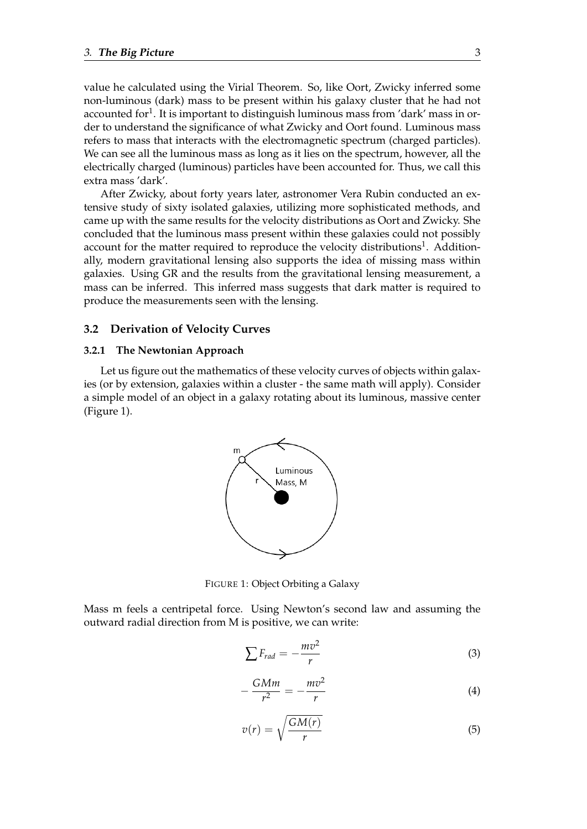value he calculated using the Virial Theorem. So, like Oort, Zwicky inferred some non-luminous (dark) mass to be present within his galaxy cluster that he had not accounted for $^1$ . It is important to distinguish luminous mass from 'dark' mass in order to understand the significance of what Zwicky and Oort found. Luminous mass refers to mass that interacts with the electromagnetic spectrum (charged particles). We can see all the luminous mass as long as it lies on the spectrum, however, all the electrically charged (luminous) particles have been accounted for. Thus, we call this extra mass 'dark'.

After Zwicky, about forty years later, astronomer Vera Rubin conducted an extensive study of sixty isolated galaxies, utilizing more sophisticated methods, and came up with the same results for the velocity distributions as Oort and Zwicky. She concluded that the luminous mass present within these galaxies could not possibly account for the matter required to reproduce the velocity distributions<sup>1</sup>. Additionally, modern gravitational lensing also supports the idea of missing mass within galaxies. Using GR and the results from the gravitational lensing measurement, a mass can be inferred. This inferred mass suggests that dark matter is required to produce the measurements seen with the lensing.

#### <span id="page-6-0"></span>**3.2 Derivation of Velocity Curves**

#### <span id="page-6-1"></span>**3.2.1 The Newtonian Approach**

Let us figure out the mathematics of these velocity curves of objects within galaxies (or by extension, galaxies within a cluster - the same math will apply). Consider a simple model of an object in a galaxy rotating about its luminous, massive center (Figure 1).



FIGURE 1: Object Orbiting a Galaxy

Mass m feels a centripetal force. Using Newton's second law and assuming the outward radial direction from M is positive, we can write:

$$
\sum F_{rad} = -\frac{mv^2}{r}
$$
 (3)

$$
-\frac{GMm}{r^2} = -\frac{mv^2}{r}
$$
 (4)

$$
v(r) = \sqrt{\frac{GM(r)}{r}}
$$
 (5)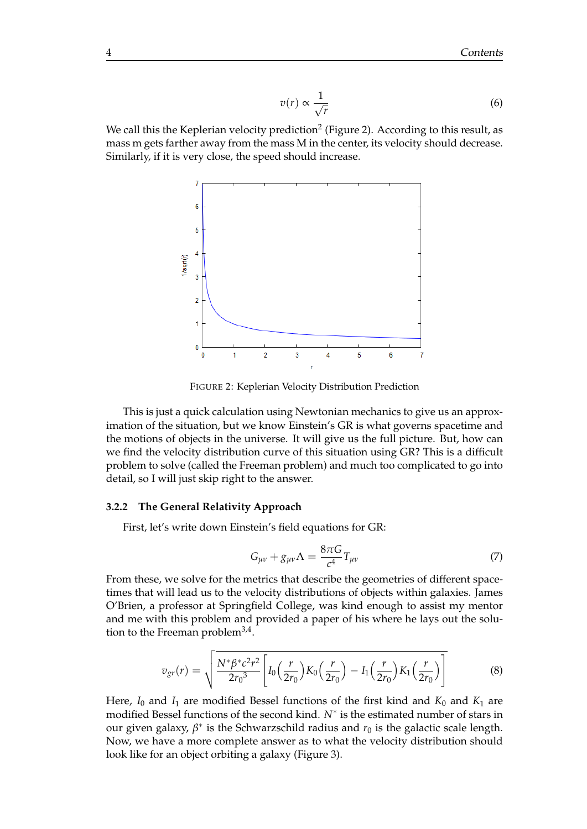$$
v(r) \propto \frac{1}{\sqrt{r}}\tag{6}
$$

We call this the Keplerian velocity prediction $^2$  (Figure 2). According to this result, as mass m gets farther away from the mass M in the center, its velocity should decrease. Similarly, if it is very close, the speed should increase.



FIGURE 2: Keplerian Velocity Distribution Prediction

This is just a quick calculation using Newtonian mechanics to give us an approximation of the situation, but we know Einstein's GR is what governs spacetime and the motions of objects in the universe. It will give us the full picture. But, how can we find the velocity distribution curve of this situation using GR? This is a difficult problem to solve (called the Freeman problem) and much too complicated to go into detail, so I will just skip right to the answer.

#### <span id="page-7-0"></span>**3.2.2 The General Relativity Approach**

First, let's write down Einstein's field equations for GR:

$$
G_{\mu\nu} + g_{\mu\nu}\Lambda = \frac{8\pi G}{c^4}T_{\mu\nu} \tag{7}
$$

From these, we solve for the metrics that describe the geometries of different spacetimes that will lead us to the velocity distributions of objects within galaxies. James O'Brien, a professor at Springfield College, was kind enough to assist my mentor and me with this problem and provided a paper of his where he lays out the solution to the Freeman problem<sup>3,4</sup>.

$$
v_{gr}(r) = \sqrt{\frac{N^*\beta^*c^2r^2}{2r_0^3}\left[I_0\left(\frac{r}{2r_0}\right)K_0\left(\frac{r}{2r_0}\right) - I_1\left(\frac{r}{2r_0}\right)K_1\left(\frac{r}{2r_0}\right)\right]}
$$
(8)

Here,  $I_0$  and  $I_1$  are modified Bessel functions of the first kind and  $K_0$  and  $K_1$  are modified Bessel functions of the second kind. *N*<sup>∗</sup> is the estimated number of stars in our given galaxy,  $\beta^*$  is the Schwarzschild radius and  $r_0$  is the galactic scale length. Now, we have a more complete answer as to what the velocity distribution should look like for an object orbiting a galaxy (Figure 3).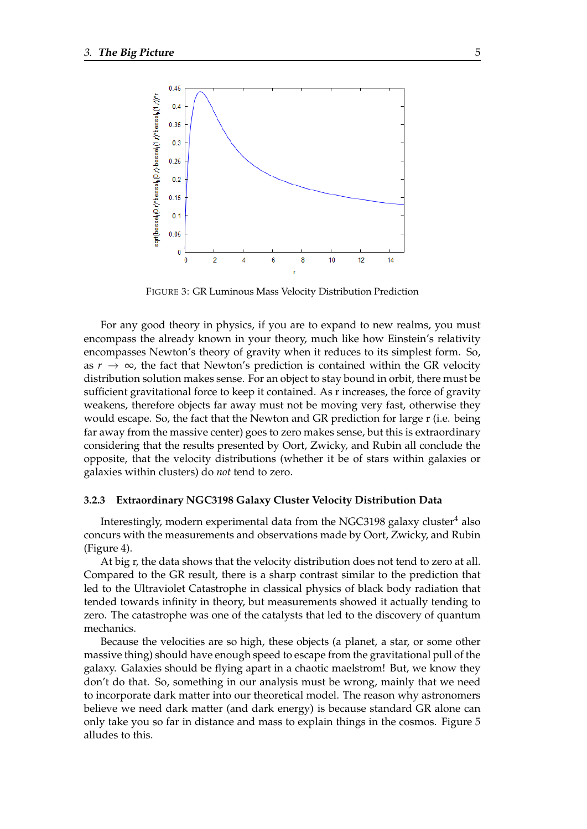

FIGURE 3: GR Luminous Mass Velocity Distribution Prediction

For any good theory in physics, if you are to expand to new realms, you must encompass the already known in your theory, much like how Einstein's relativity encompasses Newton's theory of gravity when it reduces to its simplest form. So, as  $r \to \infty$ , the fact that Newton's prediction is contained within the GR velocity distribution solution makes sense. For an object to stay bound in orbit, there must be sufficient gravitational force to keep it contained. As r increases, the force of gravity weakens, therefore objects far away must not be moving very fast, otherwise they would escape. So, the fact that the Newton and GR prediction for large r (i.e. being far away from the massive center) goes to zero makes sense, but this is extraordinary considering that the results presented by Oort, Zwicky, and Rubin all conclude the opposite, that the velocity distributions (whether it be of stars within galaxies or galaxies within clusters) do *not* tend to zero.

#### <span id="page-8-0"></span>**3.2.3 Extraordinary NGC3198 Galaxy Cluster Velocity Distribution Data**

Interestingly, modern experimental data from the NGC3198 galaxy cluster $4$  also concurs with the measurements and observations made by Oort, Zwicky, and Rubin (Figure 4).

At big r, the data shows that the velocity distribution does not tend to zero at all. Compared to the GR result, there is a sharp contrast similar to the prediction that led to the Ultraviolet Catastrophe in classical physics of black body radiation that tended towards infinity in theory, but measurements showed it actually tending to zero. The catastrophe was one of the catalysts that led to the discovery of quantum mechanics.

Because the velocities are so high, these objects (a planet, a star, or some other massive thing) should have enough speed to escape from the gravitational pull of the galaxy. Galaxies should be flying apart in a chaotic maelstrom! But, we know they don't do that. So, something in our analysis must be wrong, mainly that we need to incorporate dark matter into our theoretical model. The reason why astronomers believe we need dark matter (and dark energy) is because standard GR alone can only take you so far in distance and mass to explain things in the cosmos. Figure 5 alludes to this.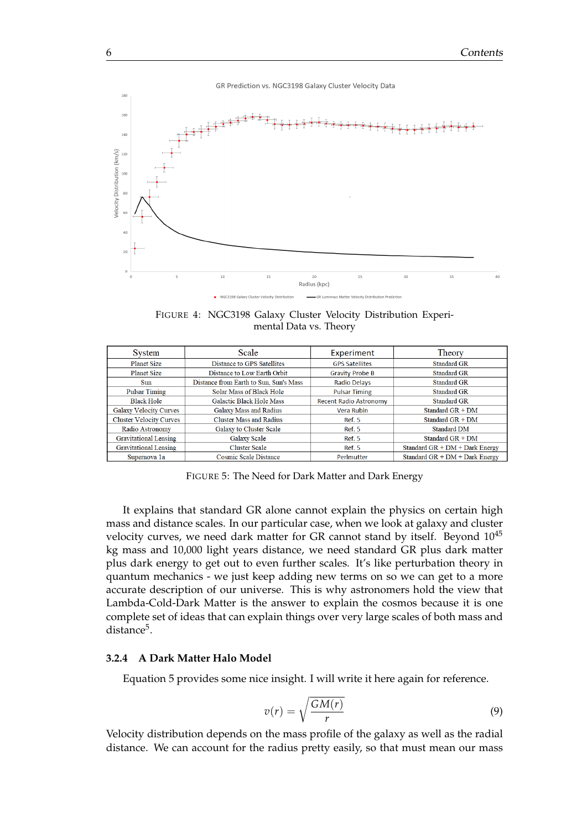

FIGURE 4: NGC3198 Galaxy Cluster Velocity Distribution Experimental Data vs. Theory

| System                         | Scale                                  | Experiment                                 | Theory                           |
|--------------------------------|----------------------------------------|--------------------------------------------|----------------------------------|
| <b>Planet Size</b>             | Distance to GPS Satellites             | <b>GPS Satellites</b>                      | <b>Standard GR</b>               |
| <b>Planet Size</b>             | Distance to Low Earth Orbit            | <b>Gravity Probe B</b>                     | <b>Standard GR</b>               |
| Sun                            | Distance from Earth to Sun, Sun's Mass | <b>Radio Delays</b>                        | <b>Standard GR</b>               |
| <b>Pulsar Timing</b>           | Solar Mass of Black Hole               | <b>Standard GR</b><br><b>Pulsar Timing</b> |                                  |
| <b>Black Hole</b>              | <b>Galactic Black Hole Mass</b>        | <b>Recent Radio Astronomy</b>              | <b>Standard GR</b>               |
| <b>Galaxy Velocity Curves</b>  | <b>Galaxy Mass and Radius</b>          | Vera Rubin                                 | Standard $GR + DM$               |
| <b>Cluster Velocity Curves</b> | <b>Cluster Mass and Radius</b>         | Ref. 5                                     | Standard $GR + DM$               |
| Radio Astronomy                | Galaxy to Cluster Scale                | <b>Ref. 5</b>                              | <b>Standard DM</b>               |
| <b>Gravitational Lensing</b>   | <b>Galaxy Scale</b><br>Ref. 5          |                                            | Standard $GR + DM$               |
| <b>Gravitational Lensing</b>   | <b>Cluster Scale</b>                   | <b>Ref. 5</b>                              | Standard $GR + DM + Dark Energy$ |
| Supernova 1a                   | Cosmic Scale Distance                  | Perlmutter                                 | Standard $GR + DM + Dark Energy$ |

FIGURE 5: The Need for Dark Matter and Dark Energy

It explains that standard GR alone cannot explain the physics on certain high mass and distance scales. In our particular case, when we look at galaxy and cluster velocity curves, we need dark matter for GR cannot stand by itself. Beyond  $10^{45}$ kg mass and 10,000 light years distance, we need standard GR plus dark matter plus dark energy to get out to even further scales. It's like perturbation theory in quantum mechanics - we just keep adding new terms on so we can get to a more accurate description of our universe. This is why astronomers hold the view that Lambda-Cold-Dark Matter is the answer to explain the cosmos because it is one complete set of ideas that can explain things over very large scales of both mass and distance<sup>5</sup>.

#### <span id="page-9-0"></span>**3.2.4 A Dark Matter Halo Model**

Equation 5 provides some nice insight. I will write it here again for reference.

$$
v(r) = \sqrt{\frac{GM(r)}{r}}\tag{9}
$$

Velocity distribution depends on the mass profile of the galaxy as well as the radial distance. We can account for the radius pretty easily, so that must mean our mass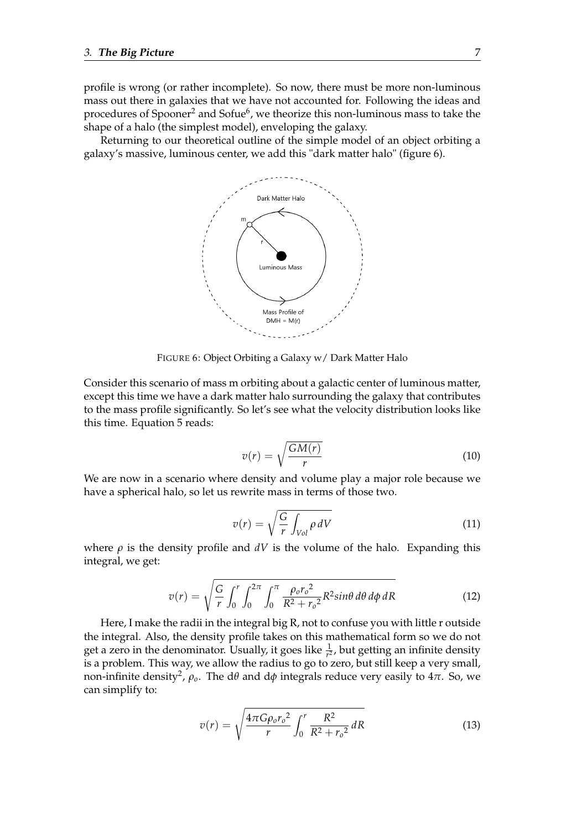profile is wrong (or rather incomplete). So now, there must be more non-luminous mass out there in galaxies that we have not accounted for. Following the ideas and procedures of Spooner $^2$  and Sofue $^6$ , we theorize this non-luminous mass to take the shape of a halo (the simplest model), enveloping the galaxy.

Returning to our theoretical outline of the simple model of an object orbiting a galaxy's massive, luminous center, we add this "dark matter halo" (figure 6).



FIGURE 6: Object Orbiting a Galaxy w/ Dark Matter Halo

Consider this scenario of mass m orbiting about a galactic center of luminous matter, except this time we have a dark matter halo surrounding the galaxy that contributes to the mass profile significantly. So let's see what the velocity distribution looks like this time. Equation 5 reads:

$$
v(r) = \sqrt{\frac{GM(r)}{r}}
$$
 (10)

We are now in a scenario where density and volume play a major role because we have a spherical halo, so let us rewrite mass in terms of those two.

$$
v(r) = \sqrt{\frac{G}{r} \int_{Vol} \rho \, dV} \tag{11}
$$

where  $\rho$  is the density profile and  $dV$  is the volume of the halo. Expanding this integral, we get:

$$
v(r) = \sqrt{\frac{G}{r} \int_0^r \int_0^{2\pi} \int_0^{\pi} \frac{\rho_o r_o^2}{R^2 + r_o^2} R^2 \sin\theta \, d\theta \, d\phi \, dR}
$$
(12)

Here, I make the radii in the integral big  $R$ , not to confuse you with little r outside the integral. Also, the density profile takes on this mathematical form so we do not get a zero in the denominator. Usually, it goes like  $\frac{1}{r^2}$ , but getting an infinite density is a problem. This way, we allow the radius to go to zero, but still keep a very small, non-infinite density<sup>2</sup> , *ρo*. The d*θ* and d*φ* integrals reduce very easily to 4*π*. So, we can simplify to:

$$
v(r) = \sqrt{\frac{4\pi G \rho_o r_o^2}{r} \int_0^r \frac{R^2}{R^2 + r_o^2} dR}
$$
(13)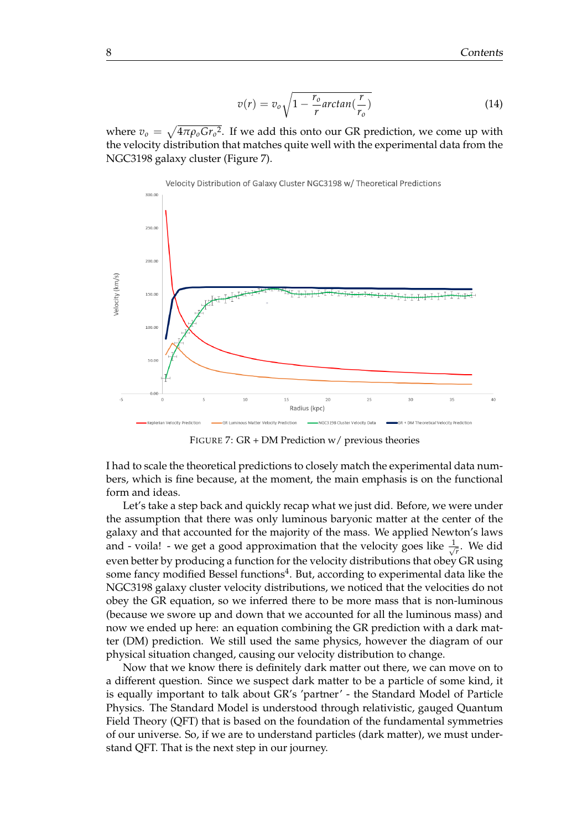$$
v(r) = v_o \sqrt{1 - \frac{r_o}{r} \arctan(\frac{r}{r_o})}
$$
\n(14)

where  $v_o = \sqrt{4\pi \rho_o G r_o^2}$ . If we add this onto our GR prediction, we come up with the velocity distribution that matches quite well with the experimental data from the NGC3198 galaxy cluster (Figure 7).



FIGURE 7: GR + DM Prediction w/ previous theories

I had to scale the theoretical predictions to closely match the experimental data numbers, which is fine because, at the moment, the main emphasis is on the functional form and ideas.

Let's take a step back and quickly recap what we just did. Before, we were under the assumption that there was only luminous baryonic matter at the center of the galaxy and that accounted for the majority of the mass. We applied Newton's laws and - voila! - we get a good approximation that the velocity goes like  $\frac{1}{\sqrt{2}}$ *r* . We did even better by producing a function for the velocity distributions that obey GR using some fancy modified Bessel functions $^4$ . But, according to experimental data like the NGC3198 galaxy cluster velocity distributions, we noticed that the velocities do not obey the GR equation, so we inferred there to be more mass that is non-luminous (because we swore up and down that we accounted for all the luminous mass) and now we ended up here: an equation combining the GR prediction with a dark matter (DM) prediction. We still used the same physics, however the diagram of our physical situation changed, causing our velocity distribution to change.

Now that we know there is definitely dark matter out there, we can move on to a different question. Since we suspect dark matter to be a particle of some kind, it is equally important to talk about GR's 'partner' - the Standard Model of Particle Physics. The Standard Model is understood through relativistic, gauged Quantum Field Theory (QFT) that is based on the foundation of the fundamental symmetries of our universe. So, if we are to understand particles (dark matter), we must understand QFT. That is the next step in our journey.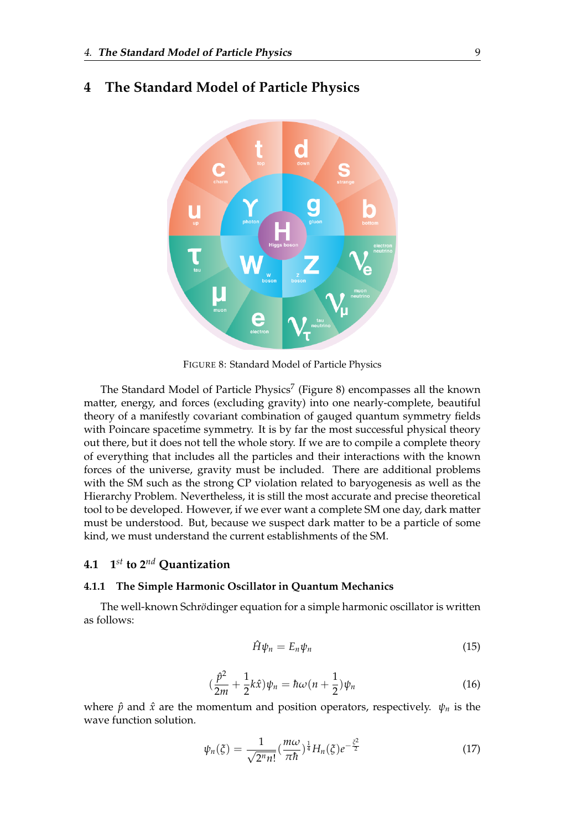

#### <span id="page-12-0"></span>**4 The Standard Model of Particle Physics**

FIGURE 8: Standard Model of Particle Physics

The Standard Model of Particle Physics<sup>7</sup> (Figure 8) encompasses all the known matter, energy, and forces (excluding gravity) into one nearly-complete, beautiful theory of a manifestly covariant combination of gauged quantum symmetry fields with Poincare spacetime symmetry. It is by far the most successful physical theory out there, but it does not tell the whole story. If we are to compile a complete theory of everything that includes all the particles and their interactions with the known forces of the universe, gravity must be included. There are additional problems with the SM such as the strong CP violation related to baryogenesis as well as the Hierarchy Problem. Nevertheless, it is still the most accurate and precise theoretical tool to be developed. However, if we ever want a complete SM one day, dark matter must be understood. But, because we suspect dark matter to be a particle of some kind, we must understand the current establishments of the SM.

#### <span id="page-12-1"></span>**4.1 1** *st* **to 2***nd* **Quantization**

#### <span id="page-12-2"></span>**4.1.1 The Simple Harmonic Oscillator in Quantum Mechanics**

The well-known Schrödinger equation for a simple harmonic oscillator is written as follows:

$$
\hat{H}\psi_n = E_n \psi_n \tag{15}
$$

$$
\left(\frac{\hat{p}^2}{2m} + \frac{1}{2}k\hat{x}\right)\psi_n = \hbar\omega\left(n + \frac{1}{2}\right)\psi_n\tag{16}
$$

where  $\hat{p}$  and  $\hat{x}$  are the momentum and position operators, respectively.  $\psi_n$  is the wave function solution.

$$
\psi_n(\xi) = \frac{1}{\sqrt{2^n n!}} \left(\frac{m\omega}{\pi\hbar}\right)^{\frac{1}{4}} H_n(\xi) e^{-\frac{\xi^2}{2}} \tag{17}
$$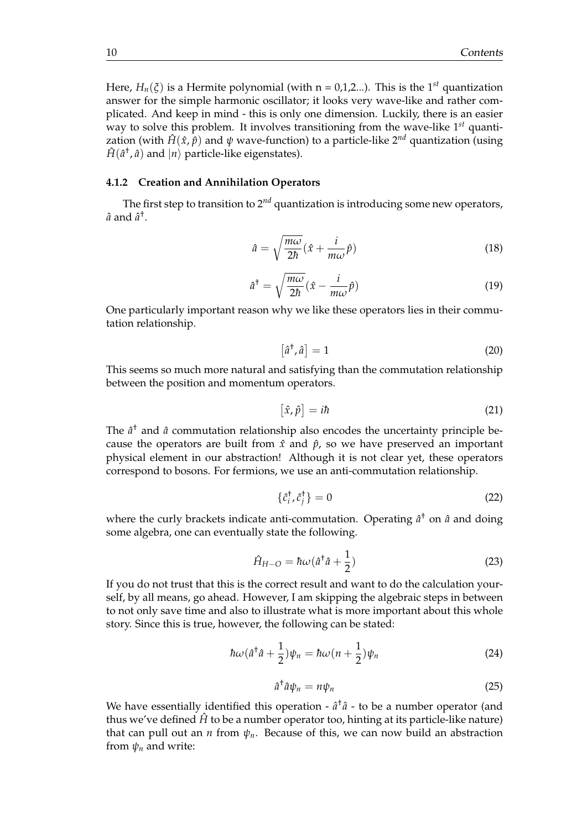Here,  $H_n(\xi)$  is a Hermite polynomial (with  $n = 0,1,2...$ ). This is the 1<sup>st</sup> quantization answer for the simple harmonic oscillator; it looks very wave-like and rather complicated. And keep in mind - this is only one dimension. Luckily, there is an easier way to solve this problem. It involves transitioning from the wave-like 1*st* quantization (with  $\hat{H}(\hat{x}, \hat{p})$  and  $\psi$  wave-function) to a particle-like 2<sup>nd</sup> quantization (using  $\hat{H}(\hat{a}^{\dagger},\hat{a})$  and  $|n\rangle$  particle-like eigenstates).

#### <span id="page-13-0"></span>**4.1.2 Creation and Annihilation Operators**

The first step to transition to 2*nd* quantization is introducing some new operators,  $\hat{a}$  and  $\hat{a}^{\dagger}$ .

$$
\hat{a} = \sqrt{\frac{m\omega}{2\hbar}} (\hat{x} + \frac{i}{m\omega}\hat{p})
$$
\n(18)

$$
\hat{a}^{\dagger} = \sqrt{\frac{m\omega}{2\hbar}} (\hat{x} - \frac{i}{m\omega}\hat{p})
$$
\n(19)

One particularly important reason why we like these operators lies in their commutation relationship.

$$
\left[\hat{a}^{\dagger}, \hat{a}\right] = 1\tag{20}
$$

This seems so much more natural and satisfying than the commutation relationship between the position and momentum operators.

$$
[\hat{x}, \hat{p}] = i\hbar \tag{21}
$$

The  $\hat{a}^{\dagger}$  and  $\hat{a}$  commutation relationship also encodes the uncertainty principle because the operators are built from  $\hat{x}$  and  $\hat{p}$ , so we have preserved an important physical element in our abstraction! Although it is not clear yet, these operators correspond to bosons. For fermions, we use an anti-commutation relationship.

$$
\{\hat{c}_i^{\dagger}, \hat{c}_j^{\dagger}\} = 0\tag{22}
$$

where the curly brackets indicate anti-commutation. Operating  $\hat{a}^{\dagger}$  on  $\hat{a}$  and doing some algebra, one can eventually state the following.

$$
\hat{H}_{H-O} = \hbar\omega(\hat{a}^\dagger\hat{a} + \frac{1}{2})\tag{23}
$$

If you do not trust that this is the correct result and want to do the calculation yourself, by all means, go ahead. However, I am skipping the algebraic steps in between to not only save time and also to illustrate what is more important about this whole story. Since this is true, however, the following can be stated:

$$
\hbar\omega(\hat{a}^\dagger\hat{a}+\frac{1}{2})\psi_n=\hbar\omega(n+\frac{1}{2})\psi_n\tag{24}
$$

$$
\hat{a}^\dagger \hat{a} \psi_n = n \psi_n \tag{25}
$$

We have essentially identified this operation -  $\hat{a}^{\dagger} \hat{a}$  - to be a number operator (and thus we've defined  $\hat{H}$  to be a number operator too, hinting at its particle-like nature) that can pull out an *n* from  $\psi_n$ . Because of this, we can now build an abstraction from  $\psi_n$  and write: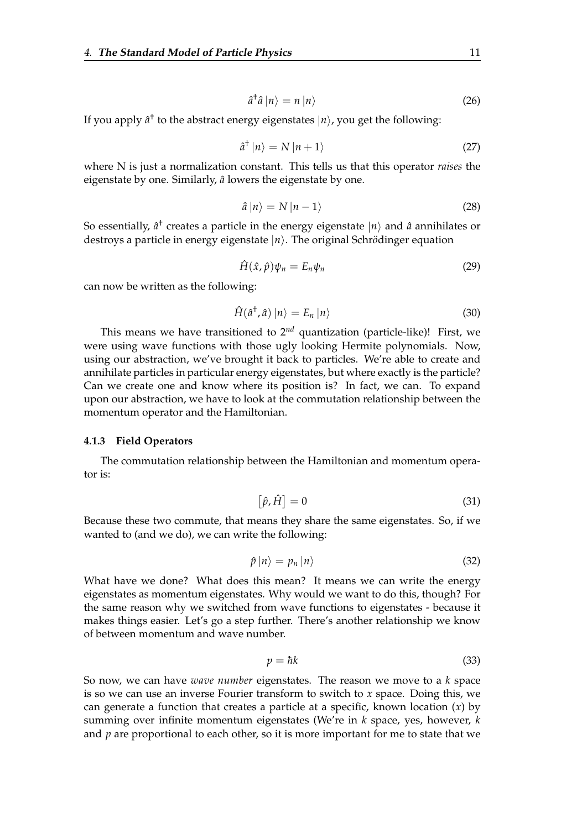$$
\hat{a}^\dagger \hat{a} \left| n \right\rangle = n \left| n \right\rangle \tag{26}
$$

If you apply  $\hat{a}^{\dagger}$  to the abstract energy eigenstates  $|n\rangle$ , you get the following:

$$
\hat{a}^{\dagger} |n\rangle = N |n+1\rangle \tag{27}
$$

where N is just a normalization constant. This tells us that this operator *raises* the eigenstate by one. Similarly,  $\hat{a}$  lowers the eigenstate by one.

$$
\hat{a}|n\rangle = N|n-1\rangle \tag{28}
$$

So essentially,  $\hat{a}^{\dagger}$  creates a particle in the energy eigenstate  $|n\rangle$  and  $\hat{a}$  annihilates or destroys a particle in energy eigenstate  $|n\rangle$ . The original Schrödinger equation

$$
\hat{H}(\hat{x}, \hat{p})\psi_n = E_n \psi_n \tag{29}
$$

can now be written as the following:

$$
\hat{H}(\hat{a}^{\dagger},\hat{a})\left|n\right\rangle =E_{n}\left|n\right\rangle \tag{30}
$$

This means we have transitioned to 2*nd* quantization (particle-like)! First, we were using wave functions with those ugly looking Hermite polynomials. Now, using our abstraction, we've brought it back to particles. We're able to create and annihilate particles in particular energy eigenstates, but where exactly is the particle? Can we create one and know where its position is? In fact, we can. To expand upon our abstraction, we have to look at the commutation relationship between the momentum operator and the Hamiltonian.

#### <span id="page-14-0"></span>**4.1.3 Field Operators**

The commutation relationship between the Hamiltonian and momentum operator is:

$$
[\hat{p}, \hat{H}] = 0 \tag{31}
$$

Because these two commute, that means they share the same eigenstates. So, if we wanted to (and we do), we can write the following:

$$
\hat{p} |n\rangle = p_n |n\rangle \tag{32}
$$

What have we done? What does this mean? It means we can write the energy eigenstates as momentum eigenstates. Why would we want to do this, though? For the same reason why we switched from wave functions to eigenstates - because it makes things easier. Let's go a step further. There's another relationship we know of between momentum and wave number.

$$
p = \hbar k \tag{33}
$$

So now, we can have *wave number* eigenstates. The reason we move to a *k* space is so we can use an inverse Fourier transform to switch to *x* space. Doing this, we can generate a function that creates a particle at a specific, known location (*x*) by summing over infinite momentum eigenstates (We're in *k* space, yes, however, *k* and *p* are proportional to each other, so it is more important for me to state that we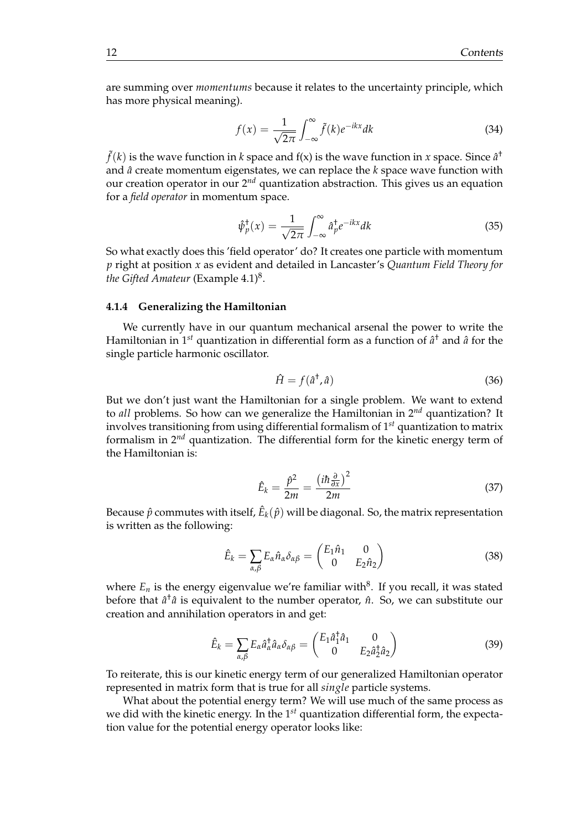are summing over *momentums* because it relates to the uncertainty principle, which has more physical meaning).

$$
f(x) = \frac{1}{\sqrt{2\pi}} \int_{-\infty}^{\infty} \tilde{f}(k) e^{-ikx} dk
$$
 (34)

 $\tilde{f}(k)$  is the wave function in  $k$  space and f(x) is the wave function in  $x$  space. Since  $\hat{a}^\dagger$ and *a*ˆ create momentum eigenstates, we can replace the *k* space wave function with our creation operator in our 2*nd* quantization abstraction. This gives us an equation for a *field operator* in momentum space.

$$
\hat{\psi}_p^{\dagger}(x) = \frac{1}{\sqrt{2\pi}} \int_{-\infty}^{\infty} \hat{a}_p^{\dagger} e^{-ikx} dk
$$
\n(35)

So what exactly does this 'field operator' do? It creates one particle with momentum *p* right at position *x* as evident and detailed in Lancaster's *Quantum Field Theory for the Gifted Amateur* (Example 4.1)<sup>8</sup> .

#### <span id="page-15-0"></span>**4.1.4 Generalizing the Hamiltonian**

We currently have in our quantum mechanical arsenal the power to write the Hamiltonian in 1*st* quantization in differential form as a function of *a*ˆ † and *a*ˆ for the single particle harmonic oscillator.

$$
\hat{H} = f(\hat{a}^{\dagger}, \hat{a})\tag{36}
$$

But we don't just want the Hamiltonian for a single problem. We want to extend to *all* problems. So how can we generalize the Hamiltonian in 2*nd* quantization? It involves transitioning from using differential formalism of 1*st* quantization to matrix formalism in 2*nd* quantization. The differential form for the kinetic energy term of the Hamiltonian is:

$$
\hat{E}_k = \frac{\hat{p}^2}{2m} = \frac{\left(i\hbar \frac{\partial}{\partial x}\right)^2}{2m} \tag{37}
$$

Because  $\hat{p}$  commutes with itself,  $\hat{E}_k(\hat{p})$  will be diagonal. So, the matrix representation is written as the following:

$$
\hat{E}_k = \sum_{\alpha,\beta} E_\alpha \hat{n}_\alpha \delta_{\alpha\beta} = \begin{pmatrix} E_1 \hat{n}_1 & 0 \\ 0 & E_2 \hat{n}_2 \end{pmatrix}
$$
(38)

where  $E_n$  is the energy eigenvalue we're familiar with $^8$ . If you recall, it was stated before that  $\hat{a}^{\dagger}\hat{a}$  is equivalent to the number operator,  $\hat{n}$ . So, we can substitute our creation and annihilation operators in and get:

$$
\hat{E}_k = \sum_{\alpha,\beta} E_\alpha \hat{a}_\alpha^\dagger \hat{a}_\alpha \delta_{\alpha\beta} = \begin{pmatrix} E_1 \hat{a}_1^\dagger \hat{a}_1 & 0 \\ 0 & E_2 \hat{a}_2^\dagger \hat{a}_2 \end{pmatrix}
$$
(39)

To reiterate, this is our kinetic energy term of our generalized Hamiltonian operator represented in matrix form that is true for all *single* particle systems.

What about the potential energy term? We will use much of the same process as we did with the kinetic energy. In the 1*st* quantization differential form, the expectation value for the potential energy operator looks like: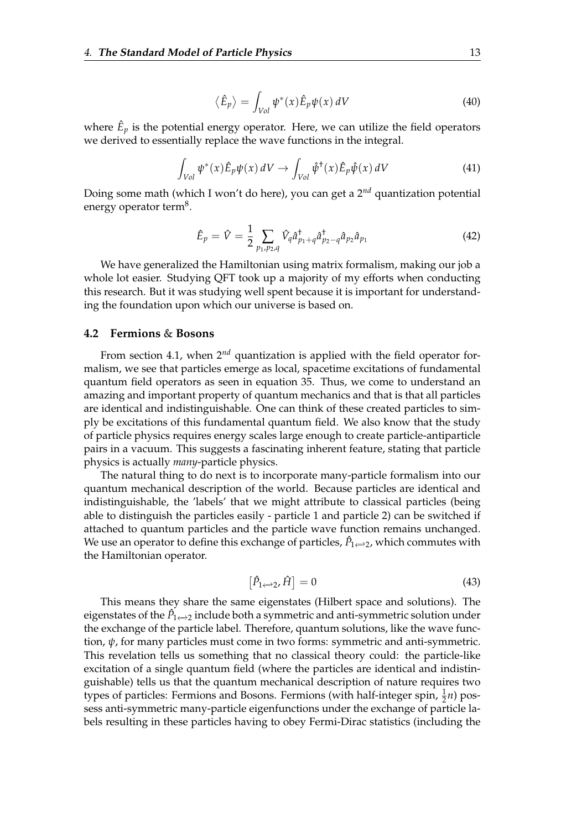$$
\langle \hat{E}_p \rangle = \int_{Vol} \psi^*(x) \hat{E}_p \psi(x) \, dV \tag{40}
$$

where  $\hat{E}_p$  is the potential energy operator. Here, we can utilize the field operators we derived to essentially replace the wave functions in the integral.

$$
\int_{Vol} \psi^*(x) \hat{E}_p \psi(x) dV \to \int_{Vol} \hat{\psi}^*(x) \hat{E}_p \hat{\psi}(x) dV \tag{41}
$$

Doing some math (which I won't do here), you can get a 2*nd* quantization potential energy operator term<sup>8</sup>.

$$
\hat{E}_p = \hat{V} = \frac{1}{2} \sum_{p_1, p_2, q} \hat{V}_q \hat{a}_{p_1 + q}^{\dagger} \hat{a}_{p_2 - q}^{\dagger} \hat{a}_{p_2} \hat{a}_{p_1}
$$
(42)

We have generalized the Hamiltonian using matrix formalism, making our job a whole lot easier. Studying QFT took up a majority of my efforts when conducting this research. But it was studying well spent because it is important for understanding the foundation upon which our universe is based on.

#### <span id="page-16-0"></span>**4.2 Fermions** & **Bosons**

From section 4.1, when 2*nd* quantization is applied with the field operator formalism, we see that particles emerge as local, spacetime excitations of fundamental quantum field operators as seen in equation 35. Thus, we come to understand an amazing and important property of quantum mechanics and that is that all particles are identical and indistinguishable. One can think of these created particles to simply be excitations of this fundamental quantum field. We also know that the study of particle physics requires energy scales large enough to create particle-antiparticle pairs in a vacuum. This suggests a fascinating inherent feature, stating that particle physics is actually *many*-particle physics.

The natural thing to do next is to incorporate many-particle formalism into our quantum mechanical description of the world. Because particles are identical and indistinguishable, the 'labels' that we might attribute to classical particles (being able to distinguish the particles easily - particle 1 and particle 2) can be switched if attached to quantum particles and the particle wave function remains unchanged. We use an operator to define this exchange of particles*,*  $\hat{P}_{1\leftrightarrow 2}$ *,* which commutes with the Hamiltonian operator.

$$
\left[\hat{P}_{1\leftrightarrow 2},\hat{H}\right]=0\tag{43}
$$

This means they share the same eigenstates (Hilbert space and solutions). The eigenstates of the  $\hat{P}_{1\leftrightarrow 2}$  include both a symmetric and anti-symmetric solution under the exchange of the particle label. Therefore, quantum solutions, like the wave function, *ψ*, for many particles must come in two forms: symmetric and anti-symmetric. This revelation tells us something that no classical theory could: the particle-like excitation of a single quantum field (where the particles are identical and indistinguishable) tells us that the quantum mechanical description of nature requires two types of particles: Fermions and Bosons. Fermions (with half-integer spin,  $\frac{1}{2}n$ ) possess anti-symmetric many-particle eigenfunctions under the exchange of particle labels resulting in these particles having to obey Fermi-Dirac statistics (including the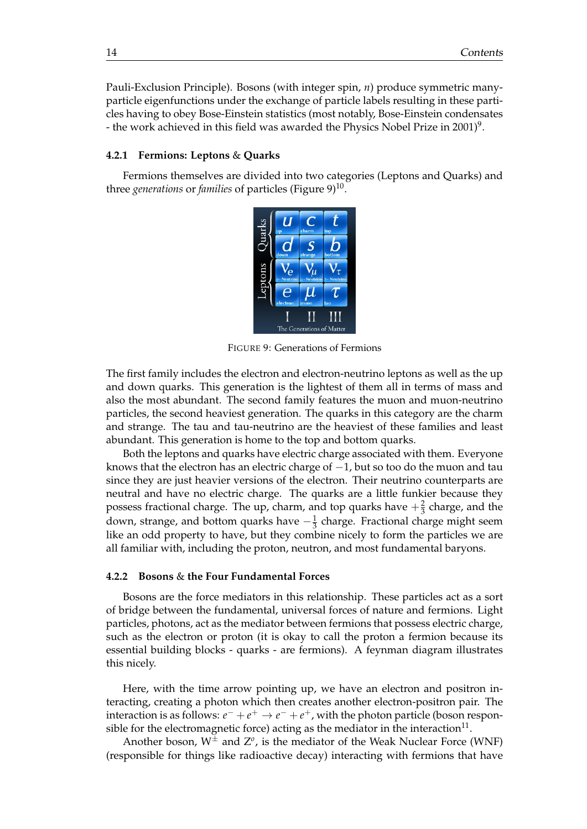Pauli-Exclusion Principle). Bosons (with integer spin, *n*) produce symmetric manyparticle eigenfunctions under the exchange of particle labels resulting in these particles having to obey Bose-Einstein statistics (most notably, Bose-Einstein condensates - the work achieved in this field was awarded the Physics Nobel Prize in 2001) $^9$ .

#### <span id="page-17-0"></span>**4.2.1 Fermions: Leptons** & **Quarks**

Fermions themselves are divided into two categories (Leptons and Quarks) and three *generations* or *families* of particles (Figure 9)<sup>10</sup>.



FIGURE 9: Generations of Fermions

The first family includes the electron and electron-neutrino leptons as well as the up and down quarks. This generation is the lightest of them all in terms of mass and also the most abundant. The second family features the muon and muon-neutrino particles, the second heaviest generation. The quarks in this category are the charm and strange. The tau and tau-neutrino are the heaviest of these families and least abundant. This generation is home to the top and bottom quarks.

Both the leptons and quarks have electric charge associated with them. Everyone knows that the electron has an electric charge of  $-1$ , but so too do the muon and tau since they are just heavier versions of the electron. Their neutrino counterparts are neutral and have no electric charge. The quarks are a little funkier because they possess fractional charge. The up, charm, and top quarks have  $+\frac{2}{3}$  charge, and the down, strange, and bottom quarks have  $-\frac{1}{3}$  charge. Fractional charge might seem like an odd property to have, but they combine nicely to form the particles we are all familiar with, including the proton, neutron, and most fundamental baryons.

#### <span id="page-17-1"></span>**4.2.2 Bosons** & **the Four Fundamental Forces**

Bosons are the force mediators in this relationship. These particles act as a sort of bridge between the fundamental, universal forces of nature and fermions. Light particles, photons, act as the mediator between fermions that possess electric charge, such as the electron or proton (it is okay to call the proton a fermion because its essential building blocks - quarks - are fermions). A feynman diagram illustrates this nicely.

Here, with the time arrow pointing up, we have an electron and positron interacting, creating a photon which then creates another electron-positron pair. The interaction is as follows:  $e^- + e^+ \rightarrow e^- + e^+$ , with the photon particle (boson responsible for the electromagnetic force) acting as the mediator in the interaction $^{11}\cdot$ 

Another boson,  $W^{\pm}$  and  $Z^{\sigma}$ , is the mediator of the Weak Nuclear Force (WNF) (responsible for things like radioactive decay) interacting with fermions that have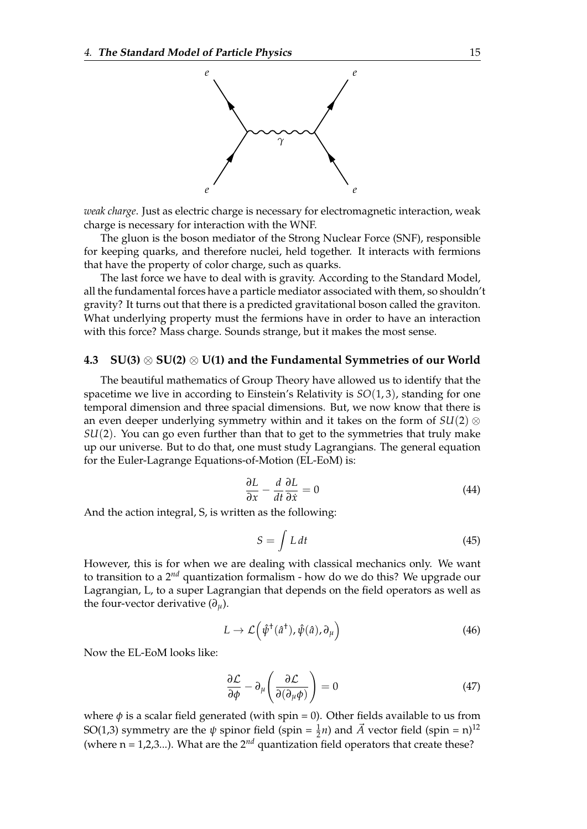

*weak charge*. Just as electric charge is necessary for electromagnetic interaction, weak charge is necessary for interaction with the WNF.

The gluon is the boson mediator of the Strong Nuclear Force (SNF), responsible for keeping quarks, and therefore nuclei, held together. It interacts with fermions that have the property of color charge, such as quarks.

The last force we have to deal with is gravity. According to the Standard Model, all the fundamental forces have a particle mediator associated with them, so shouldn't gravity? It turns out that there is a predicted gravitational boson called the graviton. What underlying property must the fermions have in order to have an interaction with this force? Mass charge. Sounds strange, but it makes the most sense.

#### <span id="page-18-0"></span>**4.3 SU(3)** ⊗ **SU(2)** ⊗ **U(1) and the Fundamental Symmetries of our World**

The beautiful mathematics of Group Theory have allowed us to identify that the spacetime we live in according to Einstein's Relativity is *SO*(1, 3), standing for one temporal dimension and three spacial dimensions. But, we now know that there is an even deeper underlying symmetry within and it takes on the form of *SU*(2) ⊗ *SU*(2). You can go even further than that to get to the symmetries that truly make up our universe. But to do that, one must study Lagrangians. The general equation for the Euler-Lagrange Equations-of-Motion (EL-EoM) is:

$$
\frac{\partial L}{\partial x} - \frac{d}{dt} \frac{\partial L}{\partial \dot{x}} = 0 \tag{44}
$$

And the action integral, S, is written as the following:

$$
S = \int L dt
$$
 (45)

However, this is for when we are dealing with classical mechanics only. We want to transition to a 2*nd* quantization formalism - how do we do this? We upgrade our Lagrangian, L, to a super Lagrangian that depends on the field operators as well as the four-vector derivative  $(\partial_u)$ .

$$
L \to \mathcal{L}(\hat{\psi}^{\dagger}(\hat{a}^{\dagger}), \hat{\psi}(\hat{a}), \partial_{\mu})
$$
\n(46)

Now the EL-EoM looks like:

$$
\frac{\partial \mathcal{L}}{\partial \phi} - \partial_{\mu} \left( \frac{\partial \mathcal{L}}{\partial (\partial_{\mu} \phi)} \right) = 0 \tag{47}
$$

where  $\phi$  is a scalar field generated (with spin = 0). Other fields available to us from SO(1,3) symmetry are the  $\psi$  spinor field (spin =  $\frac{1}{2}n$ ) and  $\vec{A}$  vector field (spin = n)<sup>12</sup> (where  $n = 1,2,3...$ ). What are the  $2^{nd}$  quantization field operators that create these?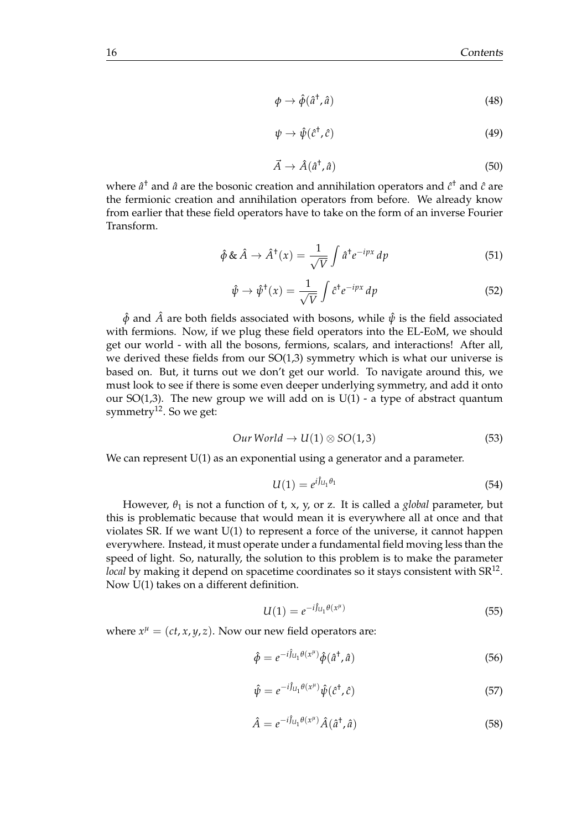$$
\phi \to \hat{\phi}(\hat{a}^{\dagger}, \hat{a}) \tag{48}
$$

$$
\psi \to \hat{\psi}(\hat{c}^{\dagger}, \hat{c}) \tag{49}
$$

$$
\vec{A} \to \hat{A}(\hat{a}^{\dagger}, \hat{a}) \tag{50}
$$

where  $\hat{a}^{\dagger}$  and  $\hat{a}$  are the bosonic creation and annihilation operators and  $\hat{c}^{\dagger}$  and  $\hat{c}$  are the fermionic creation and annihilation operators from before. We already know from earlier that these field operators have to take on the form of an inverse Fourier Transform.

$$
\hat{\phi} \& \hat{A} \rightarrow \hat{A}^{\dagger}(x) = \frac{1}{\sqrt{V}} \int \hat{a}^{\dagger} e^{-ipx} dp \tag{51}
$$

$$
\hat{\psi} \to \hat{\psi}^{\dagger}(x) = \frac{1}{\sqrt{V}} \int \hat{c}^{\dagger} e^{-ipx} dp \tag{52}
$$

 $\hat{\phi}$  and  $\hat{A}$  are both fields associated with bosons, while  $\hat{\psi}$  is the field associated with fermions. Now, if we plug these field operators into the EL-EoM, we should get our world - with all the bosons, fermions, scalars, and interactions! After all, we derived these fields from our  $SO(1,3)$  symmetry which is what our universe is based on. But, it turns out we don't get our world. To navigate around this, we must look to see if there is some even deeper underlying symmetry, and add it onto our SO(1,3). The new group we will add on is  $U(1)$  - a type of abstract quantum symmetry<sup>12</sup>. So we get:

$$
Our World \to U(1) \otimes SO(1,3) \tag{53}
$$

We can represent U(1) as an exponential using a generator and a parameter.

$$
U(1) = e^{i\hat{J}_{U_1}\theta_1} \tag{54}
$$

However,  $\theta_1$  is not a function of t, x, y, or z. It is called a *global* parameter, but this is problematic because that would mean it is everywhere all at once and that violates SR. If we want U(1) to represent a force of the universe, it cannot happen everywhere. Instead, it must operate under a fundamental field moving less than the speed of light. So, naturally, the solution to this problem is to make the parameter *local* by making it depend on spacetime coordinates so it stays consistent with SR $^{12}$ . Now U(1) takes on a different definition.

$$
U(1) = e^{-i\hat{J}_{U_1}\theta(x^{\mu})}
$$
\n(55)

where  $x^{\mu} = (ct, x, y, z)$ . Now our new field operators are:

$$
\hat{\phi} = e^{-i\hat{J}_{U_1}\theta(x^{\mu})}\hat{\phi}(\hat{a}^{\dagger},\hat{a})
$$
\n(56)

$$
\hat{\psi} = e^{-i\hat{J}_{U_1}\theta(x^{\mu})}\hat{\psi}(\hat{c}^{\dagger},\hat{c})
$$
\n(57)

$$
\hat{A} = e^{-i\hat{J}_{U_1}\theta(x^{\mu})}\hat{A}(\hat{a}^{\dagger},\hat{a})
$$
\n(58)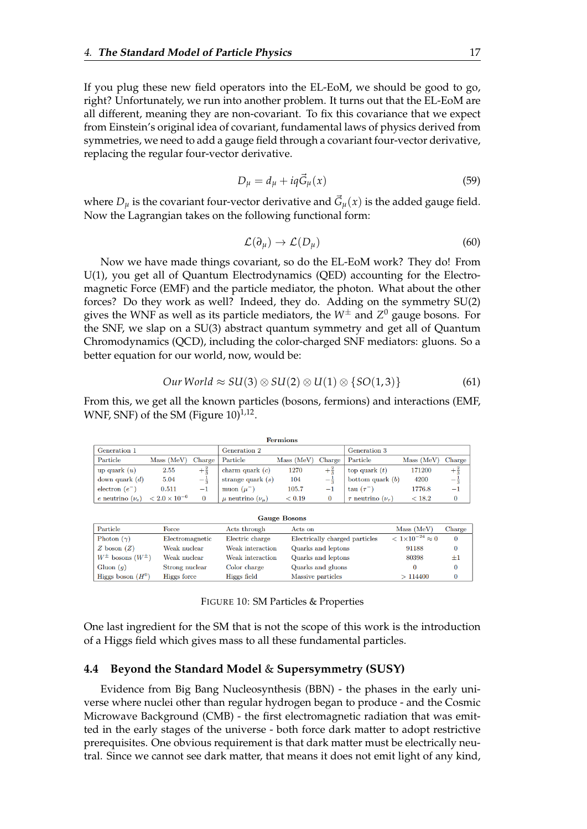If you plug these new field operators into the EL-EoM, we should be good to go, right? Unfortunately, we run into another problem. It turns out that the EL-EoM are all different, meaning they are non-covariant. To fix this covariance that we expect from Einstein's original idea of covariant, fundamental laws of physics derived from symmetries, we need to add a gauge field through a covariant four-vector derivative, replacing the regular four-vector derivative.

$$
D_{\mu} = d_{\mu} + iq\vec{G}_{\mu}(x) \tag{59}
$$

where  $D_{\mu}$  is the covariant four-vector derivative and  $\vec{G}_{\mu}(x)$  is the added gauge field. Now the Lagrangian takes on the following functional form:

$$
\mathcal{L}(\partial_{\mu}) \to \mathcal{L}(D_{\mu}) \tag{60}
$$

Now we have made things covariant, so do the EL-EoM work? They do! From U(1), you get all of Quantum Electrodynamics (QED) accounting for the Electromagnetic Force (EMF) and the particle mediator, the photon. What about the other forces? Do they work as well? Indeed, they do. Adding on the symmetry SU(2) gives the WNF as well as its particle mediators, the  $W^{\pm}$  and  $Z^{0}$  gauge bosons. For the SNF, we slap on a SU(3) abstract quantum symmetry and get all of Quantum Chromodynamics (QCD), including the color-charged SNF mediators: gluons. So a better equation for our world, now, would be:

$$
Our World \approx SU(3) \otimes SU(2) \otimes U(1) \otimes \{SO(1,3)\}\tag{61}
$$

From this, we get all the known particles (bosons, fermions) and interactions (EMF, WNF, SNF) of the SM (Figure  $10)^{1,12}$ .

|                      |                        |                |                              | <b>Fermions</b> |                |                                |               |                |
|----------------------|------------------------|----------------|------------------------------|-----------------|----------------|--------------------------------|---------------|----------------|
| Generation 1         |                        |                | Generation 2                 |                 |                | Generation 3                   |               |                |
| Particle             | Mass (MeV)             | Charge         | Particle                     | Mass (MeV)      | Charge         | Particle                       | Mass (MeV)    | Charge         |
| up quark $(u)$       | 2.55                   | $+\frac{2}{3}$ | charm quark $(c)$            | 1270            | $+\frac{2}{3}$ | top quark $(t)$                | 171200        | $+\frac{2}{3}$ |
| down quark $(d)$     | 5.04                   | $-\frac{1}{3}$ | strange quark $(s)$          | 104             | — ÷            | bottom quark $(b)$             | 4200          | $-\frac{1}{3}$ |
| electron $(e^-)$     | 0.511                  | $-1$           | muon $(\mu^-)$               | 105.7           | -1             | tau $(\tau^-$                  | 1776.8        | $-1$           |
| e neutrino $(\nu_e)$ | $< 2.0 \times 10^{-6}$ | 0              | $\mu$ neutrino $(\nu_{\mu})$ | < 0.19          |                | $\tau$ neutrino $(\nu_{\tau})$ | ${}_{<} 18.2$ |                |

| <b>Gauge Bosons</b>          |                 |                  |                                |                                 |              |  |  |
|------------------------------|-----------------|------------------|--------------------------------|---------------------------------|--------------|--|--|
| Particle                     | Force           | Acts through     | Acts on                        | Mass (MeV)                      | Charge       |  |  |
| Photon $(\gamma)$            | Electromagnetic | Electric charge  | Electrically charged particles | $< 1 \times 10^{-24} \approx 0$ | 0            |  |  |
| Z boson $(Z)$                | Weak nuclear    | Weak interaction | Quarks and leptons             | 91188                           | 0            |  |  |
| $W^{\pm}$ bosons $(W^{\pm})$ | Weak nuclear    | Weak interaction | Quarks and leptons             | 80398                           | $+1$         |  |  |
| Gluon $(q)$                  | Strong nuclear  | Color charge     | Quarks and gluons              |                                 | $\mathbf{0}$ |  |  |
| Higgs boson $(H^0)$          | Higgs force     | Higgs field      | Massive particles              | >114400                         |              |  |  |

FIGURE 10: SM Particles & Properties

One last ingredient for the SM that is not the scope of this work is the introduction of a Higgs field which gives mass to all these fundamental particles.

#### <span id="page-20-0"></span>**4.4 Beyond the Standard Model** & **Supersymmetry (SUSY)**

Evidence from Big Bang Nucleosynthesis (BBN) - the phases in the early universe where nuclei other than regular hydrogen began to produce - and the Cosmic Microwave Background (CMB) - the first electromagnetic radiation that was emitted in the early stages of the universe - both force dark matter to adopt restrictive prerequisites. One obvious requirement is that dark matter must be electrically neutral. Since we cannot see dark matter, that means it does not emit light of any kind,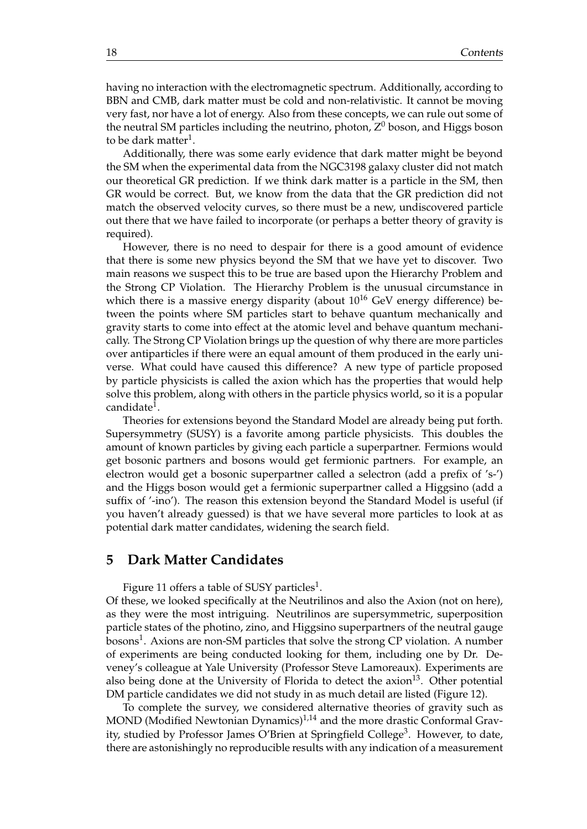having no interaction with the electromagnetic spectrum. Additionally, according to BBN and CMB, dark matter must be cold and non-relativistic. It cannot be moving very fast, nor have a lot of energy. Also from these concepts, we can rule out some of the neutral SM particles including the neutrino, photon,  $Z^0$  boson, and Higgs boson to be dark matter $^1$ .

Additionally, there was some early evidence that dark matter might be beyond the SM when the experimental data from the NGC3198 galaxy cluster did not match our theoretical GR prediction. If we think dark matter is a particle in the SM, then GR would be correct. But, we know from the data that the GR prediction did not match the observed velocity curves, so there must be a new, undiscovered particle out there that we have failed to incorporate (or perhaps a better theory of gravity is required).

However, there is no need to despair for there is a good amount of evidence that there is some new physics beyond the SM that we have yet to discover. Two main reasons we suspect this to be true are based upon the Hierarchy Problem and the Strong CP Violation. The Hierarchy Problem is the unusual circumstance in which there is a massive energy disparity (about  $10^{16}$  GeV energy difference) between the points where SM particles start to behave quantum mechanically and gravity starts to come into effect at the atomic level and behave quantum mechanically. The Strong CP Violation brings up the question of why there are more particles over antiparticles if there were an equal amount of them produced in the early universe. What could have caused this difference? A new type of particle proposed by particle physicists is called the axion which has the properties that would help solve this problem, along with others in the particle physics world, so it is a popular candidate $^1$ .

Theories for extensions beyond the Standard Model are already being put forth. Supersymmetry (SUSY) is a favorite among particle physicists. This doubles the amount of known particles by giving each particle a superpartner. Fermions would get bosonic partners and bosons would get fermionic partners. For example, an electron would get a bosonic superpartner called a selectron (add a prefix of 's-') and the Higgs boson would get a fermionic superpartner called a Higgsino (add a suffix of '-ino'). The reason this extension beyond the Standard Model is useful (if you haven't already guessed) is that we have several more particles to look at as potential dark matter candidates, widening the search field.

#### <span id="page-21-0"></span>**5 Dark Matter Candidates**

Figure 11 offers a table of SUSY particles $^{\rm 1}.$ 

Of these, we looked specifically at the Neutrilinos and also the Axion (not on here), as they were the most intriguing. Neutrilinos are supersymmetric, superposition particle states of the photino, zino, and Higgsino superpartners of the neutral gauge bosons $^1$ . Axions are non-SM particles that solve the strong CP violation. A number of experiments are being conducted looking for them, including one by Dr. Deveney's colleague at Yale University (Professor Steve Lamoreaux). Experiments are also being done at the University of Florida to detect the axion $13$ . Other potential DM particle candidates we did not study in as much detail are listed (Figure 12).

To complete the survey, we considered alternative theories of gravity such as MOND (Modified Newtonian Dynamics) $1,14$  and the more drastic Conformal Gravity, studied by Professor James O'Brien at Springfield College<sup>3</sup>. However, to date, there are astonishingly no reproducible results with any indication of a measurement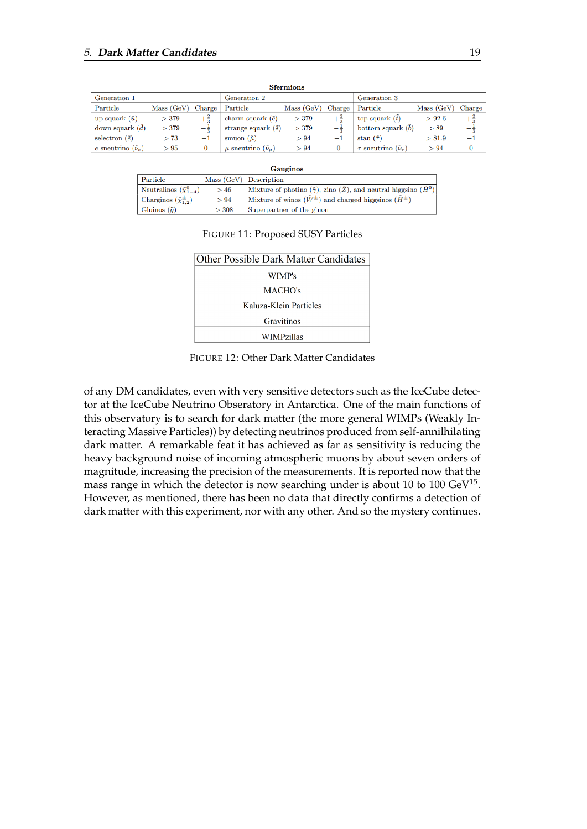|                               |           |                |                                     | <b>Sfermions</b> |                |                                         |            |                |
|-------------------------------|-----------|----------------|-------------------------------------|------------------|----------------|-----------------------------------------|------------|----------------|
| Generation 1                  |           |                | Generation 2                        |                  |                | Generation 3                            |            |                |
| Particle                      | Mass(GeV) | Charge         | Particle                            | Mass(GeV)        | Charge         | Particle                                | Mass (GeV) | Charge         |
| up squark $(\tilde{u})$       | >379      | $+\frac{2}{3}$ | charm squark $(\tilde{c})$          | >379             | $+\frac{2}{3}$ | top squark $(t)$                        | > 92.6     | $+\frac{2}{3}$ |
| down squark $(\tilde{d})$     | >379      | $-\frac{1}{3}$ | strange squark $(\tilde{s})$        | > 379            | $-\frac{1}{2}$ | bottom squark $(\tilde{b})$             | > 89       | $-\frac{1}{3}$ |
| selectron $(\tilde{e})$       | >73       | $^{-1}$        | smuon $(\tilde{\mu})$               | > 94             | $^{-1}$        | stau $(\tilde{\tau})$                   | > 81.9     | $-1$           |
| e sneutrino $(\tilde{\nu}_e)$ | >95       | $\bf{0}$       | $\mu$ sneutrino $(\tilde{\nu}_\mu)$ | > 94             |                | $\tau$ sneutrino $(\tilde{\nu}_{\tau})$ | > 94       | 0              |

<span id="page-22-0"></span>

|                                        |       | <b>Gauginos</b>                                                                                   |
|----------------------------------------|-------|---------------------------------------------------------------------------------------------------|
| Particle                               |       | Mass (GeV) Description                                                                            |
| Neutralinos $(\tilde{\chi}_{1-4}^0)$   | >46   | Mixture of photino $(\tilde{\gamma})$ , zino $(\tilde{Z})$ , and neutral higgsino $(\tilde{H}^0)$ |
| Charginos $(\tilde{\chi}_{1,2}^{\pm})$ | > 94  | Mixture of winos $(\tilde{W}^{\pm})$ and charged higgsinos $(\tilde{H}^{\pm})$                    |
| Gluinos $(\tilde{q})$                  | > 308 | Superpartner of the gluon                                                                         |

#### FIGURE 11: Proposed SUSY Particles

| <b>Other Possible Dark Matter Candidates</b> |
|----------------------------------------------|
| WIMP's                                       |
| MACHO's                                      |
| Kaluza-Klein Particles                       |
| Gravitinos                                   |
| WIMPzillas                                   |

FIGURE 12: Other Dark Matter Candidates

of any DM candidates, even with very sensitive detectors such as the IceCube detector at the IceCube Neutrino Obseratory in Antarctica. One of the main functions of this observatory is to search for dark matter (the more general WIMPs (Weakly Interacting Massive Particles)) by detecting neutrinos produced from self-annilhilating dark matter. A remarkable feat it has achieved as far as sensitivity is reducing the heavy background noise of incoming atmospheric muons by about seven orders of magnitude, increasing the precision of the measurements. It is reported now that the mass range in which the detector is now searching under is about 10 to 100  $\text{GeV}^{15}$ . However, as mentioned, there has been no data that directly confirms a detection of dark matter with this experiment, nor with any other. And so the mystery continues.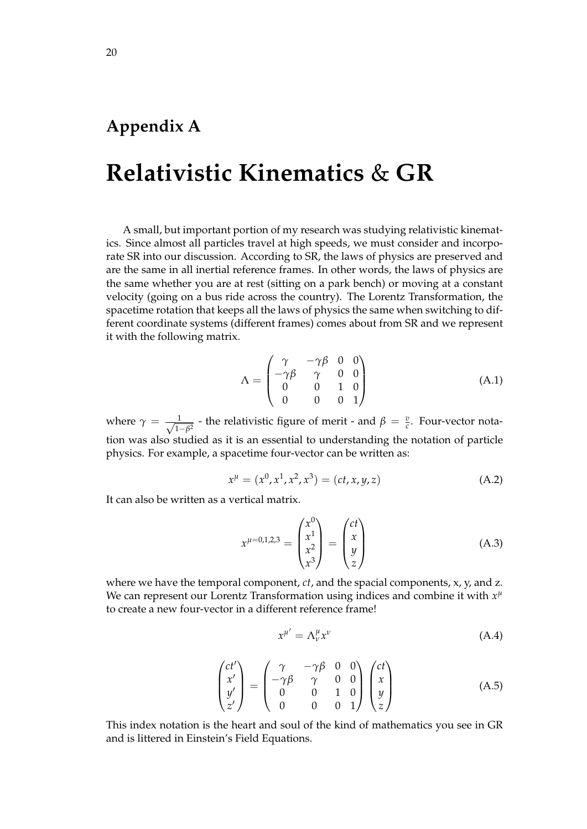### <span id="page-23-0"></span>**Appendix A**

### **Relativistic Kinematics** & **GR**

A small, but important portion of my research was studying relativistic kinematics. Since almost all particles travel at high speeds, we must consider and incorporate SR into our discussion. According to SR, the laws of physics are preserved and are the same in all inertial reference frames. In other words, the laws of physics are the same whether you are at rest (sitting on a park bench) or moving at a constant velocity (going on a bus ride across the country). The Lorentz Transformation, the spacetime rotation that keeps all the laws of physics the same when switching to different coordinate systems (different frames) comes about from SR and we represent it with the following matrix.

$$
\Lambda = \begin{pmatrix} \gamma & -\gamma \beta & 0 & 0 \\ -\gamma \beta & \gamma & 0 & 0 \\ 0 & 0 & 1 & 0 \\ 0 & 0 & 0 & 1 \end{pmatrix}
$$
(A.1)

where  $\gamma = \frac{1}{\sqrt{1}}$  $\frac{1}{1-\beta^2}$  - the relativistic figure of merit - and  $\beta = \frac{v}{c}$ . Four-vector notation was also studied as it is an essential to understanding the notation of particle physics. For example, a spacetime four-vector can be written as:

$$
x^{\mu} = (x^0, x^1, x^2, x^3) = (ct, x, y, z)
$$
 (A.2)

It can also be written as a vertical matrix.

$$
x^{\mu=0,1,2,3} = \begin{pmatrix} x^0 \\ x^1 \\ x^2 \\ x^3 \end{pmatrix} = \begin{pmatrix} ct \\ x \\ y \\ z \end{pmatrix}
$$
 (A.3)

where we have the temporal component, *ct*, and the spacial components, x, y, and z. We can represent our Lorentz Transformation using indices and combine it with  $x^{\mu}$ to create a new four-vector in a different reference frame!

$$
x^{\mu'} = \Lambda^{\mu}_{\nu} x^{\nu} \tag{A.4}
$$

$$
\begin{pmatrix} ct' \\ x' \\ y' \\ z' \end{pmatrix} = \begin{pmatrix} \gamma & -\gamma \beta & 0 & 0 \\ -\gamma \beta & \gamma & 0 & 0 \\ 0 & 0 & 1 & 0 \\ 0 & 0 & 0 & 1 \end{pmatrix} \begin{pmatrix} ct \\ x \\ y \\ z \end{pmatrix}
$$
 (A.5)

This index notation is the heart and soul of the kind of mathematics you see in GR and is littered in Einstein's Field Equations.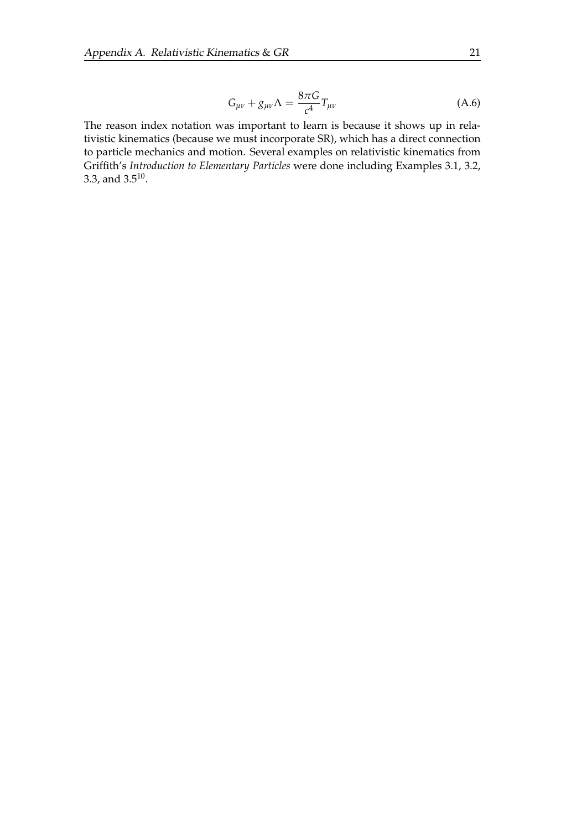$$
G_{\mu\nu} + g_{\mu\nu}\Lambda = \frac{8\pi G}{c^4}T_{\mu\nu} \tag{A.6}
$$

The reason index notation was important to learn is because it shows up in relativistic kinematics (because we must incorporate SR), which has a direct connection to particle mechanics and motion. Several examples on relativistic kinematics from Griffith's *Introduction to Elementary Particles* were done including Examples 3.1, 3.2, 3.3, and  $3.5^{10}$ .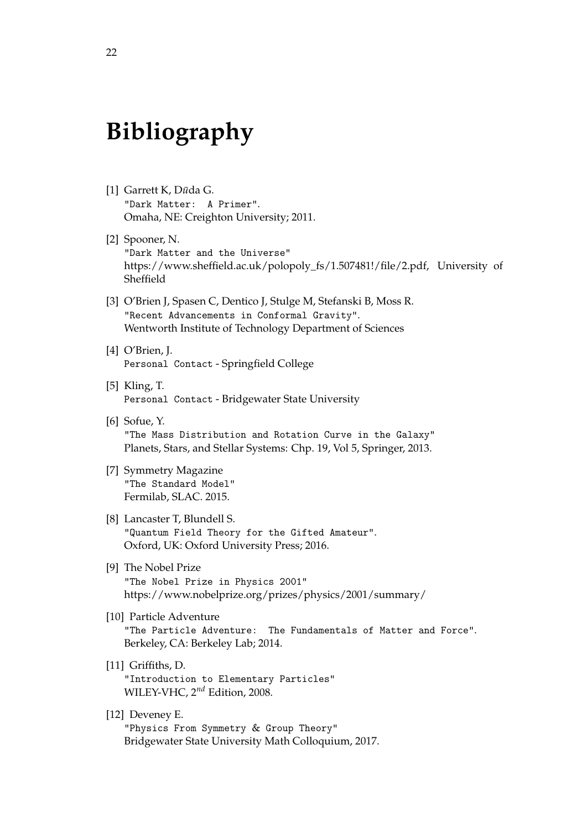## **Bibliography**

- [1] Garrett K, Dūda G. "Dark Matter: A Primer". Omaha, NE: Creighton University; 2011.
- [2] Spooner, N. "Dark Matter and the Universe" https://www.sheffield.ac.uk/polopoly\_fs/1.507481!/file/2.pdf, University of Sheffield
- [3] O'Brien J, Spasen C, Dentico J, Stulge M, Stefanski B, Moss R. "Recent Advancements in Conformal Gravity". Wentworth Institute of Technology Department of Sciences
- [4] O'Brien, J. Personal Contact - Springfield College
- [5] Kling, T. Personal Contact - Bridgewater State University
- [6] Sofue, Y. "The Mass Distribution and Rotation Curve in the Galaxy" Planets, Stars, and Stellar Systems: Chp. 19, Vol 5, Springer, 2013.
- [7] Symmetry Magazine "The Standard Model" Fermilab, SLAC. 2015.
- [8] Lancaster T, Blundell S. "Quantum Field Theory for the Gifted Amateur". Oxford, UK: Oxford University Press; 2016.
- [9] The Nobel Prize "The Nobel Prize in Physics 2001" https://www.nobelprize.org/prizes/physics/2001/summary/
- [10] Particle Adventure "The Particle Adventure: The Fundamentals of Matter and Force". Berkeley, CA: Berkeley Lab; 2014.
- [11] Griffiths, D. "Introduction to Elementary Particles" WILEY-VHC, 2*nd* Edition, 2008.
- [12] Deveney E. "Physics From Symmetry & Group Theory" Bridgewater State University Math Colloquium, 2017.